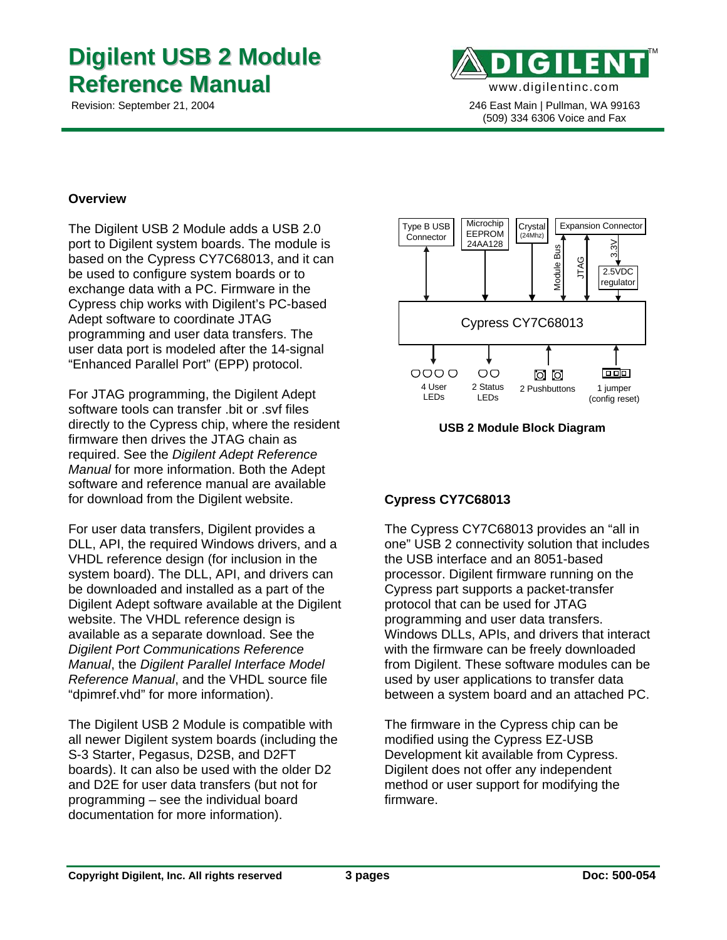# **Digilent USB 2 Module Reference Manual**



 Revision: September 21, 2004 246 East Main | Pullman, WA 99163 (509) 334 6306 Voice and Fax

## **Overview**

The Digilent USB 2 Module adds a USB 2.0 port to Digilent system boards. The module is based on the Cypress CY7C68013, and it can be used to configure system boards or to exchange data with a PC. Firmware in the Cypress chip works with Digilent's PC-based Adept software to coordinate JTAG programming and user data transfers. The user data port is modeled after the 14-signal "Enhanced Parallel Port" (EPP) protocol.

For JTAG programming, the Digilent Adept software tools can transfer .bit or .svf files directly to the Cypress chip, where the resident firmware then drives the JTAG chain as required. See the *Digilent Adept Reference Manual* for more information. Both the Adept software and reference manual are available for download from the Digilent website.

For user data transfers, Digilent provides a DLL, API, the required Windows drivers, and a VHDL reference design (for inclusion in the system board). The DLL, API, and drivers can be downloaded and installed as a part of the Digilent Adept software available at the Digilent website. The VHDL reference design is available as a separate download. See the *Digilent Port Communications Reference Manual*, the *Digilent Parallel Interface Model Reference Manual*, and the VHDL source file "dpimref.vhd" for more information).

The Digilent USB 2 Module is compatible with all newer Digilent system boards (including the S-3 Starter, Pegasus, D2SB, and D2FT boards). It can also be used with the older D2 and D2E for user data transfers (but not for programming – see the individual board documentation for more information).



**USB 2 Module Block Diagram** 

# **Cypress CY7C68013**

The Cypress CY7C68013 provides an "all in one" USB 2 connectivity solution that includes the USB interface and an 8051-based processor. Digilent firmware running on the Cypress part supports a packet-transfer protocol that can be used for JTAG programming and user data transfers. Windows DLLs, APIs, and drivers that interact with the firmware can be freely downloaded from Digilent. These software modules can be used by user applications to transfer data between a system board and an attached PC.

The firmware in the Cypress chip can be modified using the Cypress EZ-USB Development kit available from Cypress. Digilent does not offer any independent method or user support for modifying the firmware.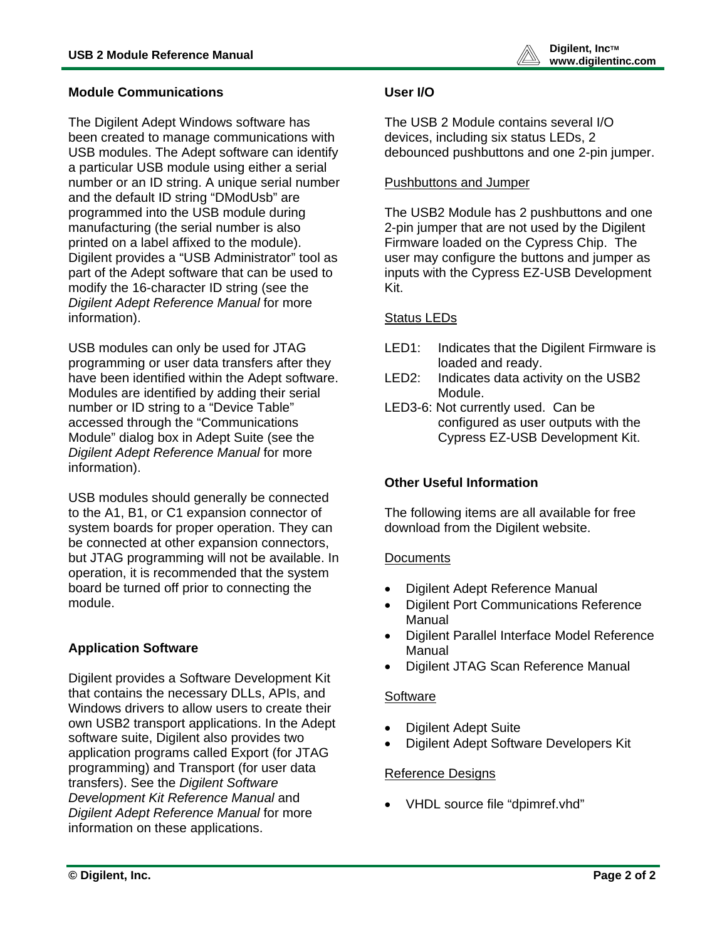

#### **Module Communications**

The Digilent Adept Windows software has been created to manage communications with USB modules. The Adept software can identify a particular USB module using either a serial number or an ID string. A unique serial number and the default ID string "DModUsb" are programmed into the USB module during manufacturing (the serial number is also printed on a label affixed to the module). Digilent provides a "USB Administrator" tool as part of the Adept software that can be used to modify the 16-character ID string (see the *Digilent Adept Reference Manual* for more information).

USB modules can only be used for JTAG programming or user data transfers after they have been identified within the Adept software. Modules are identified by adding their serial number or ID string to a "Device Table" accessed through the "Communications Module" dialog box in Adept Suite (see the *Digilent Adept Reference Manual* for more information).

USB modules should generally be connected to the A1, B1, or C1 expansion connector of system boards for proper operation. They can be connected at other expansion connectors, but JTAG programming will not be available. In operation, it is recommended that the system board be turned off prior to connecting the module.

## **Application Software**

Digilent provides a Software Development Kit that contains the necessary DLLs, APIs, and Windows drivers to allow users to create their own USB2 transport applications. In the Adept software suite, Digilent also provides two application programs called Export (for JTAG programming) and Transport (for user data transfers). See the *Digilent Software Development Kit Reference Manual* and *Digilent Adept Reference Manual* for more information on these applications.

## **User I/O**

The USB 2 Module contains several I/O devices, including six status LEDs, 2 debounced pushbuttons and one 2-pin jumper.

## Pushbuttons and Jumper

The USB2 Module has 2 pushbuttons and one 2-pin jumper that are not used by the Digilent Firmware loaded on the Cypress Chip. The user may configure the buttons and jumper as inputs with the Cypress EZ-USB Development Kit.

## Status LEDs

- LED1: Indicates that the Digilent Firmware is loaded and ready.
- LED2: Indicates data activity on the USB2 Module.
- LED3-6: Not currently used. Can be configured as user outputs with the Cypress EZ-USB Development Kit.

## **Other Useful Information**

The following items are all available for free download from the Digilent website.

## **Documents**

- Digilent Adept Reference Manual
- Digilent Port Communications Reference Manual
- Digilent Parallel Interface Model Reference Manual
- Digilent JTAG Scan Reference Manual

## **Software**

- Digilent Adept Suite
- Digilent Adept Software Developers Kit

## Reference Designs

• VHDL source file "dpimref.vhd"